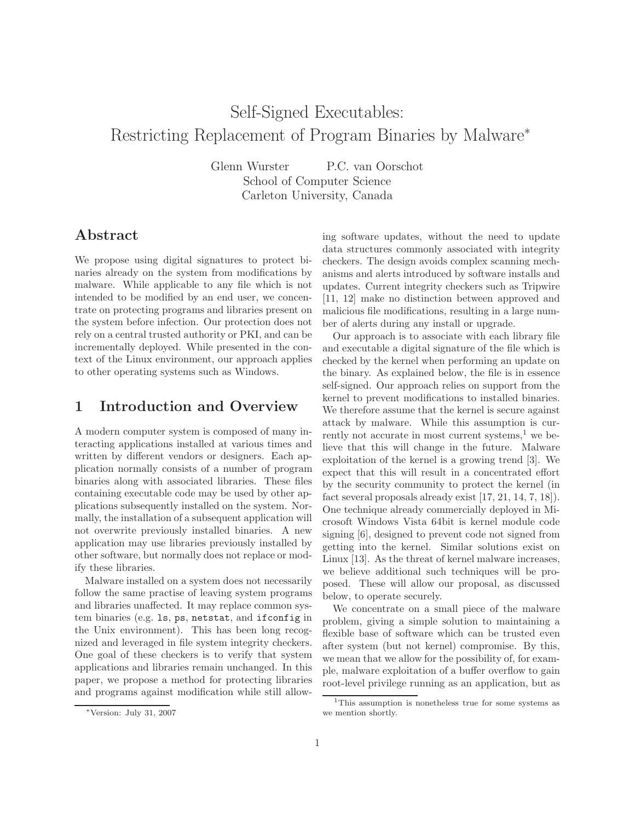# Self-Signed Executables: Restricting Replacement of Program Binaries by Malware<sup>∗</sup>

Glenn Wurster P.C. van Oorschot School of Computer Science Carleton University, Canada

### Abstract

We propose using digital signatures to protect binaries already on the system from modifications by malware. While applicable to any file which is not intended to be modified by an end user, we concentrate on protecting programs and libraries present on the system before infection. Our protection does not rely on a central trusted authority or PKI, and can be incrementally deployed. While presented in the context of the Linux environment, our approach applies to other operating systems such as Windows.

# 1 Introduction and Overview

A modern computer system is composed of many interacting applications installed at various times and written by different vendors or designers. Each application normally consists of a number of program binaries along with associated libraries. These files containing executable code may be used by other applications subsequently installed on the system. Normally, the installation of a subsequent application will not overwrite previously installed binaries. A new application may use libraries previously installed by other software, but normally does not replace or modify these libraries.

Malware installed on a system does not necessarily follow the same practise of leaving system programs and libraries unaffected. It may replace common system binaries (e.g. ls, ps, netstat, and ifconfig in the Unix environment). This has been long recognized and leveraged in file system integrity checkers. One goal of these checkers is to verify that system applications and libraries remain unchanged. In this paper, we propose a method for protecting libraries and programs against modification while still allowing software updates, without the need to update data structures commonly associated with integrity checkers. The design avoids complex scanning mechanisms and alerts introduced by software installs and updates. Current integrity checkers such as Tripwire [11, 12] make no distinction between approved and malicious file modifications, resulting in a large number of alerts during any install or upgrade.

Our approach is to associate with each library file and executable a digital signature of the file which is checked by the kernel when performing an update on the binary. As explained below, the file is in essence self-signed. Our approach relies on support from the kernel to prevent modifications to installed binaries. We therefore assume that the kernel is secure against attack by malware. While this assumption is currently not accurate in most current systems, $<sup>1</sup>$  we be-</sup> lieve that this will change in the future. Malware exploitation of the kernel is a growing trend [3]. We expect that this will result in a concentrated effort by the security community to protect the kernel (in fact several proposals already exist [17, 21, 14, 7, 18]). One technique already commercially deployed in Microsoft Windows Vista 64bit is kernel module code signing [6], designed to prevent code not signed from getting into the kernel. Similar solutions exist on Linux [13]. As the threat of kernel malware increases, we believe additional such techniques will be proposed. These will allow our proposal, as discussed below, to operate securely.

We concentrate on a small piece of the malware problem, giving a simple solution to maintaining a flexible base of software which can be trusted even after system (but not kernel) compromise. By this, we mean that we allow for the possibility of, for example, malware exploitation of a buffer overflow to gain root-level privilege running as an application, but as

<sup>∗</sup>Version: July 31, 2007

<sup>1</sup>This assumption is nonetheless true for some systems as we mention shortly.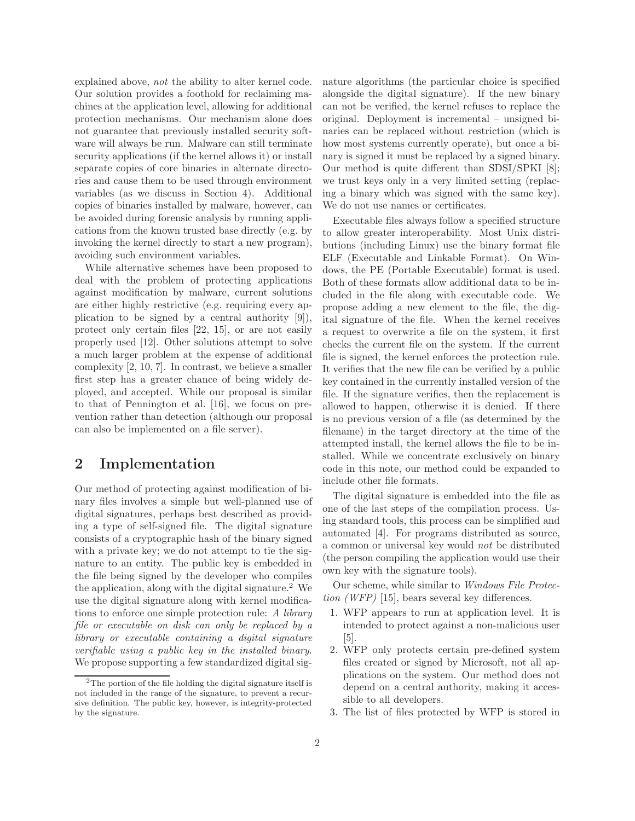explained above, not the ability to alter kernel code. Our solution provides a foothold for reclaiming machines at the application level, allowing for additional protection mechanisms. Our mechanism alone does not guarantee that previously installed security software will always be run. Malware can still terminate security applications (if the kernel allows it) or install separate copies of core binaries in alternate directories and cause them to be used through environment variables (as we discuss in Section 4). Additional copies of binaries installed by malware, however, can be avoided during forensic analysis by running applications from the known trusted base directly (e.g. by invoking the kernel directly to start a new program), avoiding such environment variables.

While alternative schemes have been proposed to deal with the problem of protecting applications against modification by malware, current solutions are either highly restrictive (e.g. requiring every application to be signed by a central authority [9]), protect only certain files [22, 15], or are not easily properly used [12]. Other solutions attempt to solve a much larger problem at the expense of additional complexity [2, 10, 7]. In contrast, we believe a smaller first step has a greater chance of being widely deployed, and accepted. While our proposal is similar to that of Pennington et al. [16], we focus on prevention rather than detection (although our proposal can also be implemented on a file server).

#### 2 Implementation

Our method of protecting against modification of binary files involves a simple but well-planned use of digital signatures, perhaps best described as providing a type of self-signed file. The digital signature consists of a cryptographic hash of the binary signed with a private key; we do not attempt to tie the signature to an entity. The public key is embedded in the file being signed by the developer who compiles the application, along with the digital signature.<sup>2</sup> We use the digital signature along with kernel modifications to enforce one simple protection rule: A library file or executable on disk can only be replaced by a library or executable containing a digital signature verifiable using a public key in the installed binary. We propose supporting a few standardized digital sig-

nature algorithms (the particular choice is specified alongside the digital signature). If the new binary can not be verified, the kernel refuses to replace the original. Deployment is incremental – unsigned binaries can be replaced without restriction (which is how most systems currently operate), but once a binary is signed it must be replaced by a signed binary. Our method is quite different than SDSI/SPKI [8]; we trust keys only in a very limited setting (replacing a binary which was signed with the same key). We do not use names or certificates.

Executable files always follow a specified structure to allow greater interoperability. Most Unix distributions (including Linux) use the binary format file ELF (Executable and Linkable Format). On Windows, the PE (Portable Executable) format is used. Both of these formats allow additional data to be included in the file along with executable code. We propose adding a new element to the file, the digital signature of the file. When the kernel receives a request to overwrite a file on the system, it first checks the current file on the system. If the current file is signed, the kernel enforces the protection rule. It verifies that the new file can be verified by a public key contained in the currently installed version of the file. If the signature verifies, then the replacement is allowed to happen, otherwise it is denied. If there is no previous version of a file (as determined by the filename) in the target directory at the time of the attempted install, the kernel allows the file to be installed. While we concentrate exclusively on binary code in this note, our method could be expanded to include other file formats.

The digital signature is embedded into the file as one of the last steps of the compilation process. Using standard tools, this process can be simplified and automated [4]. For programs distributed as source, a common or universal key would not be distributed (the person compiling the application would use their own key with the signature tools).

Our scheme, while similar to Windows File Protection (WFP) [15], bears several key differences.

- 1. WFP appears to run at application level. It is intended to protect against a non-malicious user [5].
- 2. WFP only protects certain pre-defined system files created or signed by Microsoft, not all applications on the system. Our method does not depend on a central authority, making it accessible to all developers.
- 3. The list of files protected by WFP is stored in

 $^2 \mathrm{The}$  portion of the file holding the digital signature itself is not included in the range of the signature, to prevent a recursive definition. The public key, however, is integrity-protected by the signature.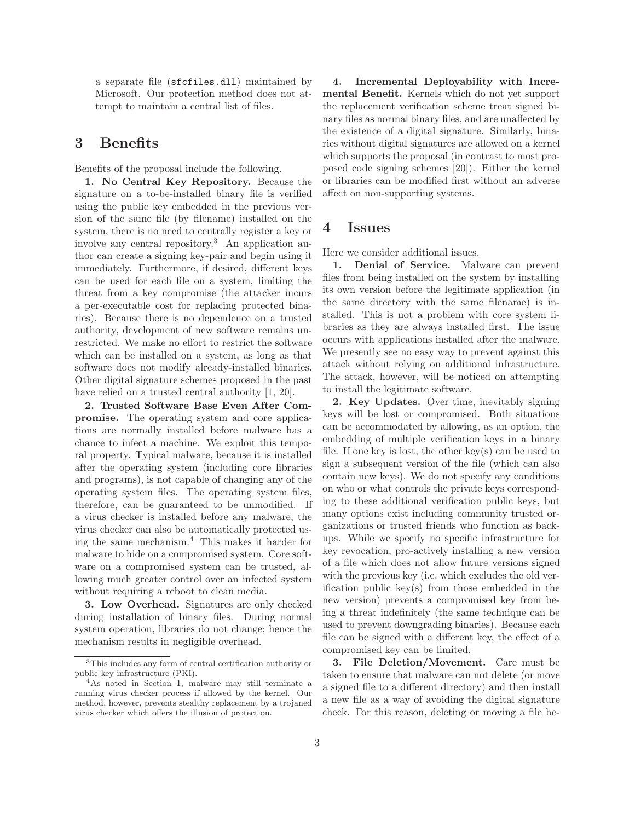a separate file (sfcfiles.dll) maintained by Microsoft. Our protection method does not attempt to maintain a central list of files.

### 3 Benefits

Benefits of the proposal include the following.

1. No Central Key Repository. Because the signature on a to-be-installed binary file is verified using the public key embedded in the previous version of the same file (by filename) installed on the system, there is no need to centrally register a key or involve any central repository.<sup>3</sup> An application author can create a signing key-pair and begin using it immediately. Furthermore, if desired, different keys can be used for each file on a system, limiting the threat from a key compromise (the attacker incurs a per-executable cost for replacing protected binaries). Because there is no dependence on a trusted authority, development of new software remains unrestricted. We make no effort to restrict the software which can be installed on a system, as long as that software does not modify already-installed binaries. Other digital signature schemes proposed in the past have relied on a trusted central authority [1, 20].

2. Trusted Software Base Even After Compromise. The operating system and core applications are normally installed before malware has a chance to infect a machine. We exploit this temporal property. Typical malware, because it is installed after the operating system (including core libraries and programs), is not capable of changing any of the operating system files. The operating system files, therefore, can be guaranteed to be unmodified. If a virus checker is installed before any malware, the virus checker can also be automatically protected using the same mechanism.<sup>4</sup> This makes it harder for malware to hide on a compromised system. Core software on a compromised system can be trusted, allowing much greater control over an infected system without requiring a reboot to clean media.

3. Low Overhead. Signatures are only checked during installation of binary files. During normal system operation, libraries do not change; hence the mechanism results in negligible overhead.

4. Incremental Deployability with Incremental Benefit. Kernels which do not yet support the replacement verification scheme treat signed binary files as normal binary files, and are unaffected by the existence of a digital signature. Similarly, binaries without digital signatures are allowed on a kernel which supports the proposal (in contrast to most proposed code signing schemes [20]). Either the kernel or libraries can be modified first without an adverse affect on non-supporting systems.

#### 4 Issues

Here we consider additional issues.

1. Denial of Service. Malware can prevent files from being installed on the system by installing its own version before the legitimate application (in the same directory with the same filename) is installed. This is not a problem with core system libraries as they are always installed first. The issue occurs with applications installed after the malware. We presently see no easy way to prevent against this attack without relying on additional infrastructure. The attack, however, will be noticed on attempting to install the legitimate software.

2. Key Updates. Over time, inevitably signing keys will be lost or compromised. Both situations can be accommodated by allowing, as an option, the embedding of multiple verification keys in a binary file. If one key is lost, the other key(s) can be used to sign a subsequent version of the file (which can also contain new keys). We do not specify any conditions on who or what controls the private keys corresponding to these additional verification public keys, but many options exist including community trusted organizations or trusted friends who function as backups. While we specify no specific infrastructure for key revocation, pro-actively installing a new version of a file which does not allow future versions signed with the previous key (i.e. which excludes the old verification public key(s) from those embedded in the new version) prevents a compromised key from being a threat indefinitely (the same technique can be used to prevent downgrading binaries). Because each file can be signed with a different key, the effect of a compromised key can be limited.

3. File Deletion/Movement. Care must be taken to ensure that malware can not delete (or move a signed file to a different directory) and then install a new file as a way of avoiding the digital signature check. For this reason, deleting or moving a file be-

<sup>3</sup>This includes any form of central certification authority or public key infrastructure (PKI).

<sup>4</sup>As noted in Section 1, malware may still terminate a running virus checker process if allowed by the kernel. Our method, however, prevents stealthy replacement by a trojaned virus checker which offers the illusion of protection.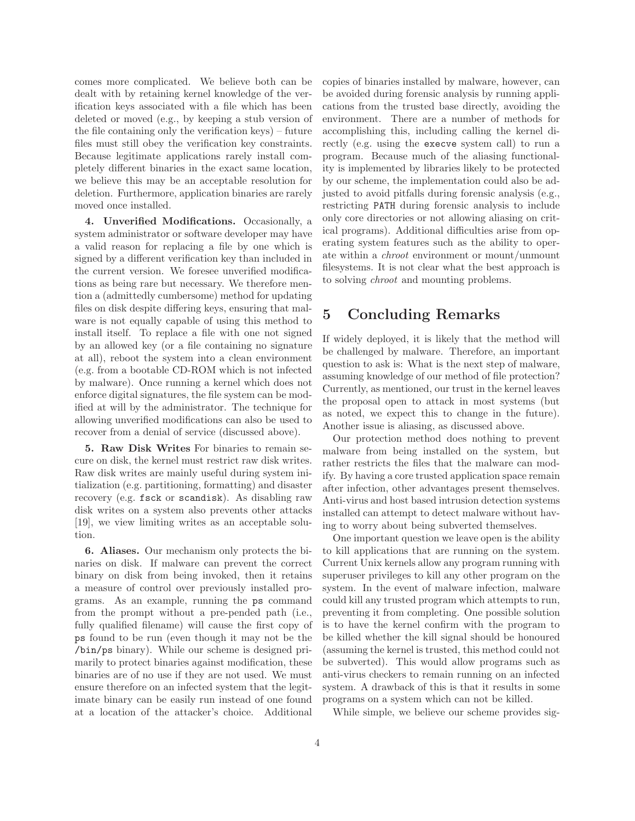comes more complicated. We believe both can be dealt with by retaining kernel knowledge of the verification keys associated with a file which has been deleted or moved (e.g., by keeping a stub version of the file containing only the verification keys) – future files must still obey the verification key constraints. Because legitimate applications rarely install completely different binaries in the exact same location, we believe this may be an acceptable resolution for deletion. Furthermore, application binaries are rarely moved once installed.

4. Unverified Modifications. Occasionally, a system administrator or software developer may have a valid reason for replacing a file by one which is signed by a different verification key than included in the current version. We foresee unverified modifications as being rare but necessary. We therefore mention a (admittedly cumbersome) method for updating files on disk despite differing keys, ensuring that malware is not equally capable of using this method to install itself. To replace a file with one not signed by an allowed key (or a file containing no signature at all), reboot the system into a clean environment (e.g. from a bootable CD-ROM which is not infected by malware). Once running a kernel which does not enforce digital signatures, the file system can be modified at will by the administrator. The technique for allowing unverified modifications can also be used to recover from a denial of service (discussed above).

5. Raw Disk Writes For binaries to remain secure on disk, the kernel must restrict raw disk writes. Raw disk writes are mainly useful during system initialization (e.g. partitioning, formatting) and disaster recovery (e.g. fsck or scandisk). As disabling raw disk writes on a system also prevents other attacks [19], we view limiting writes as an acceptable solution.

6. Aliases. Our mechanism only protects the binaries on disk. If malware can prevent the correct binary on disk from being invoked, then it retains a measure of control over previously installed programs. As an example, running the ps command from the prompt without a pre-pended path (i.e., fully qualified filename) will cause the first copy of ps found to be run (even though it may not be the /bin/ps binary). While our scheme is designed primarily to protect binaries against modification, these binaries are of no use if they are not used. We must ensure therefore on an infected system that the legitimate binary can be easily run instead of one found at a location of the attacker's choice. Additional

copies of binaries installed by malware, however, can be avoided during forensic analysis by running applications from the trusted base directly, avoiding the environment. There are a number of methods for accomplishing this, including calling the kernel directly (e.g. using the execve system call) to run a program. Because much of the aliasing functionality is implemented by libraries likely to be protected by our scheme, the implementation could also be adjusted to avoid pitfalls during forensic analysis (e.g., restricting PATH during forensic analysis to include only core directories or not allowing aliasing on critical programs). Additional difficulties arise from operating system features such as the ability to operate within a chroot environment or mount/unmount filesystems. It is not clear what the best approach is to solving chroot and mounting problems.

# 5 Concluding Remarks

If widely deployed, it is likely that the method will be challenged by malware. Therefore, an important question to ask is: What is the next step of malware, assuming knowledge of our method of file protection? Currently, as mentioned, our trust in the kernel leaves the proposal open to attack in most systems (but as noted, we expect this to change in the future). Another issue is aliasing, as discussed above.

Our protection method does nothing to prevent malware from being installed on the system, but rather restricts the files that the malware can modify. By having a core trusted application space remain after infection, other advantages present themselves. Anti-virus and host based intrusion detection systems installed can attempt to detect malware without having to worry about being subverted themselves.

One important question we leave open is the ability to kill applications that are running on the system. Current Unix kernels allow any program running with superuser privileges to kill any other program on the system. In the event of malware infection, malware could kill any trusted program which attempts to run, preventing it from completing. One possible solution is to have the kernel confirm with the program to be killed whether the kill signal should be honoured (assuming the kernel is trusted, this method could not be subverted). This would allow programs such as anti-virus checkers to remain running on an infected system. A drawback of this is that it results in some programs on a system which can not be killed.

While simple, we believe our scheme provides sig-